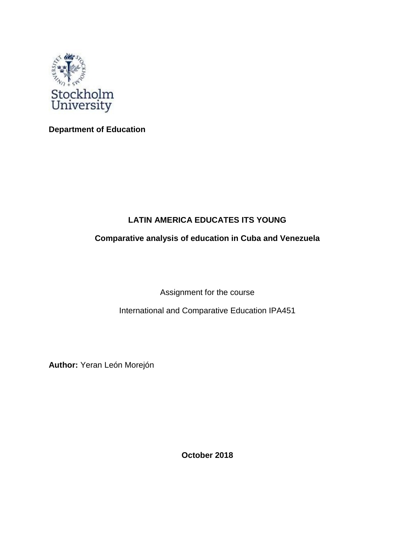

**Department of Education** 

# **LATIN AMERICA EDUCATES ITS YOUNG**

# **Comparative analysis of education in Cuba and Venezuela**

Assignment for the course

International and Comparative Education IPA451

**Author:** Yeran León Morejón

**October 2018**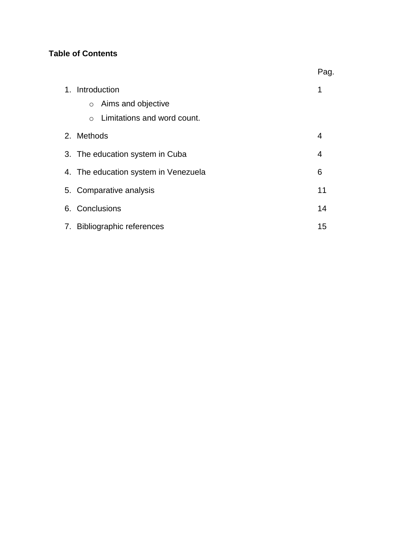# **Table of Contents**

|                                          | Pag. |
|------------------------------------------|------|
| 1. Introduction                          | 1    |
| Aims and objective<br>$\circ$            |      |
| Limitations and word count.<br>$\bigcap$ |      |
| 2. Methods                               | 4    |
| 3. The education system in Cuba          | 4    |
| 4. The education system in Venezuela     | 6    |
| 5. Comparative analysis                  | 11   |
| 6. Conclusions                           | 14   |
| 7. Bibliographic references              | 15   |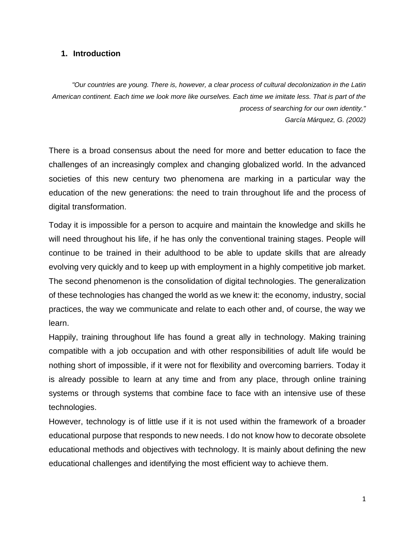#### **1. Introduction**

*"Our countries are young. There is, however, a clear process of cultural decolonization in the Latin American continent. Each time we look more like ourselves. Each time we imitate less. That is part of the process of searching for our own identity." García Márquez, G. (2002)*

There is a broad consensus about the need for more and better education to face the challenges of an increasingly complex and changing globalized world. In the advanced societies of this new century two phenomena are marking in a particular way the education of the new generations: the need to train throughout life and the process of digital transformation.

Today it is impossible for a person to acquire and maintain the knowledge and skills he will need throughout his life, if he has only the conventional training stages. People will continue to be trained in their adulthood to be able to update skills that are already evolving very quickly and to keep up with employment in a highly competitive job market. The second phenomenon is the consolidation of digital technologies. The generalization of these technologies has changed the world as we knew it: the economy, industry, social practices, the way we communicate and relate to each other and, of course, the way we learn.

Happily, training throughout life has found a great ally in technology. Making training compatible with a job occupation and with other responsibilities of adult life would be nothing short of impossible, if it were not for flexibility and overcoming barriers. Today it is already possible to learn at any time and from any place, through online training systems or through systems that combine face to face with an intensive use of these technologies.

However, technology is of little use if it is not used within the framework of a broader educational purpose that responds to new needs. I do not know how to decorate obsolete educational methods and objectives with technology. It is mainly about defining the new educational challenges and identifying the most efficient way to achieve them.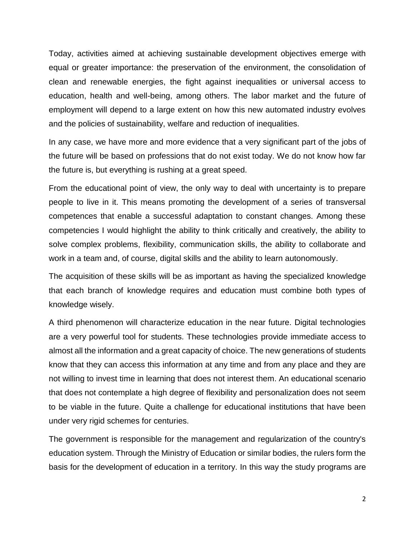Today, activities aimed at achieving sustainable development objectives emerge with equal or greater importance: the preservation of the environment, the consolidation of clean and renewable energies, the fight against inequalities or universal access to education, health and well-being, among others. The labor market and the future of employment will depend to a large extent on how this new automated industry evolves and the policies of sustainability, welfare and reduction of inequalities.

In any case, we have more and more evidence that a very significant part of the jobs of the future will be based on professions that do not exist today. We do not know how far the future is, but everything is rushing at a great speed.

From the educational point of view, the only way to deal with uncertainty is to prepare people to live in it. This means promoting the development of a series of transversal competences that enable a successful adaptation to constant changes. Among these competencies I would highlight the ability to think critically and creatively, the ability to solve complex problems, flexibility, communication skills, the ability to collaborate and work in a team and, of course, digital skills and the ability to learn autonomously.

The acquisition of these skills will be as important as having the specialized knowledge that each branch of knowledge requires and education must combine both types of knowledge wisely.

A third phenomenon will characterize education in the near future. Digital technologies are a very powerful tool for students. These technologies provide immediate access to almost all the information and a great capacity of choice. The new generations of students know that they can access this information at any time and from any place and they are not willing to invest time in learning that does not interest them. An educational scenario that does not contemplate a high degree of flexibility and personalization does not seem to be viable in the future. Quite a challenge for educational institutions that have been under very rigid schemes for centuries.

The government is responsible for the management and regularization of the country's education system. Through the Ministry of Education or similar bodies, the rulers form the basis for the development of education in a territory. In this way the study programs are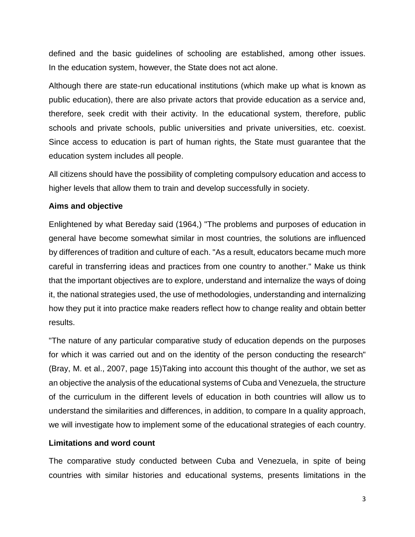defined and the basic guidelines of schooling are established, among other issues. In the education system, however, the State does not act alone.

Although there are state-run educational institutions (which make up what is known as public education), there are also private actors that provide education as a service and, therefore, seek credit with their activity. In the educational system, therefore, public schools and private schools, public universities and private universities, etc. coexist. Since access to education is part of human rights, the State must guarantee that the education system includes all people.

All citizens should have the possibility of completing compulsory education and access to higher levels that allow them to train and develop successfully in society.

#### **Aims and objective**

Enlightened by what Bereday said (1964,) "The problems and purposes of education in general have become somewhat similar in most countries, the solutions are influenced by differences of tradition and culture of each. "As a result, educators became much more careful in transferring ideas and practices from one country to another." Make us think that the important objectives are to explore, understand and internalize the ways of doing it, the national strategies used, the use of methodologies, understanding and internalizing how they put it into practice make readers reflect how to change reality and obtain better results.

"The nature of any particular comparative study of education depends on the purposes for which it was carried out and on the identity of the person conducting the research" (Bray, M. et al., 2007, page 15)Taking into account this thought of the author, we set as an objective the analysis of the educational systems of Cuba and Venezuela, the structure of the curriculum in the different levels of education in both countries will allow us to understand the similarities and differences, in addition, to compare In a quality approach, we will investigate how to implement some of the educational strategies of each country.

#### **Limitations and word count**

The comparative study conducted between Cuba and Venezuela, in spite of being countries with similar histories and educational systems, presents limitations in the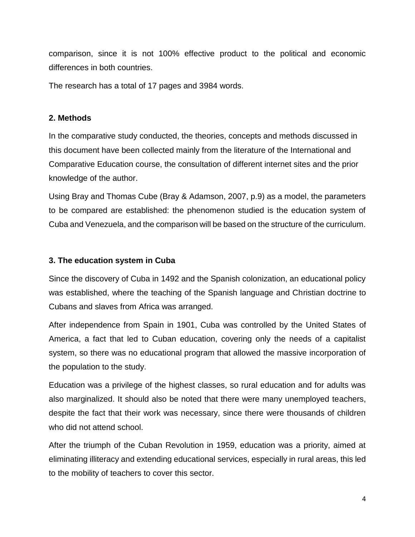comparison, since it is not 100% effective product to the political and economic differences in both countries.

The research has a total of 17 pages and 3984 words.

#### **2. Methods**

In the comparative study conducted, the theories, concepts and methods discussed in this document have been collected mainly from the literature of the International and Comparative Education course, the consultation of different internet sites and the prior knowledge of the author.

Using Bray and Thomas Cube (Bray & Adamson, 2007, p.9) as a model, the parameters to be compared are established: the phenomenon studied is the education system of Cuba and Venezuela, and the comparison will be based on the structure of the curriculum.

#### **3. The education system in Cuba**

Since the discovery of Cuba in 1492 and the Spanish colonization, an educational policy was established, where the teaching of the Spanish language and Christian doctrine to Cubans and slaves from Africa was arranged.

After independence from Spain in 1901, Cuba was controlled by the United States of America, a fact that led to Cuban education, covering only the needs of a capitalist system, so there was no educational program that allowed the massive incorporation of the population to the study.

Education was a privilege of the highest classes, so rural education and for adults was also marginalized. It should also be noted that there were many unemployed teachers, despite the fact that their work was necessary, since there were thousands of children who did not attend school.

After the triumph of the Cuban Revolution in 1959, education was a priority, aimed at eliminating illiteracy and extending educational services, especially in rural areas, this led to the mobility of teachers to cover this sector.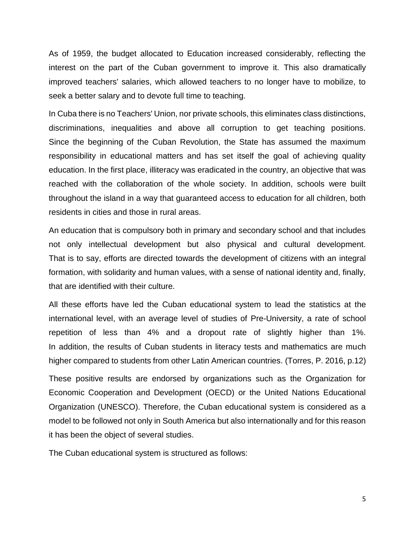As of 1959, the budget allocated to Education increased considerably, reflecting the interest on the part of the Cuban government to improve it. This also dramatically improved teachers' salaries, which allowed teachers to no longer have to mobilize, to seek a better salary and to devote full time to teaching.

In Cuba there is no Teachers' Union, nor private schools, this eliminates class distinctions, discriminations, inequalities and above all corruption to get teaching positions. Since the beginning of the Cuban Revolution, the State has assumed the maximum responsibility in educational matters and has set itself the goal of achieving quality education. In the first place, illiteracy was eradicated in the country, an objective that was reached with the collaboration of the whole society. In addition, schools were built throughout the island in a way that guaranteed access to education for all children, both residents in cities and those in rural areas.

An education that is compulsory both in primary and secondary school and that includes not only intellectual development but also physical and cultural development. That is to say, efforts are directed towards the development of citizens with an integral formation, with solidarity and human values, with a sense of national identity and, finally, that are identified with their culture.

All these efforts have led the Cuban educational system to lead the statistics at the international level, with an average level of studies of Pre-University, a rate of school repetition of less than 4% and a dropout rate of slightly higher than 1%. In addition, the results of Cuban students in literacy tests and mathematics are much higher compared to students from other Latin American countries. (Torres, P. 2016, p.12)

These positive results are endorsed by organizations such as the Organization for Economic Cooperation and Development (OECD) or the United Nations Educational Organization (UNESCO). Therefore, the Cuban educational system is considered as a model to be followed not only in South America but also internationally and for this reason it has been the object of several studies.

The Cuban educational system is structured as follows: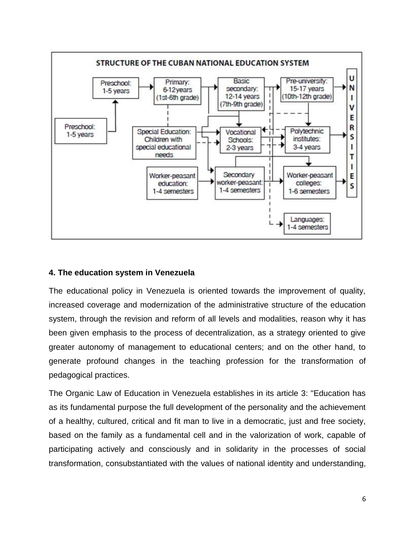

### **4. The education system in Venezuela**

The educational policy in Venezuela is oriented towards the improvement of quality, increased coverage and modernization of the administrative structure of the education system, through the revision and reform of all levels and modalities, reason why it has been given emphasis to the process of decentralization, as a strategy oriented to give greater autonomy of management to educational centers; and on the other hand, to generate profound changes in the teaching profession for the transformation of pedagogical practices.

The Organic Law of Education in Venezuela establishes in its article 3: "Education has as its fundamental purpose the full development of the personality and the achievement of a healthy, cultured, critical and fit man to live in a democratic, just and free society, based on the family as a fundamental cell and in the valorization of work, capable of participating actively and consciously and in solidarity in the processes of social transformation, consubstantiated with the values of national identity and understanding,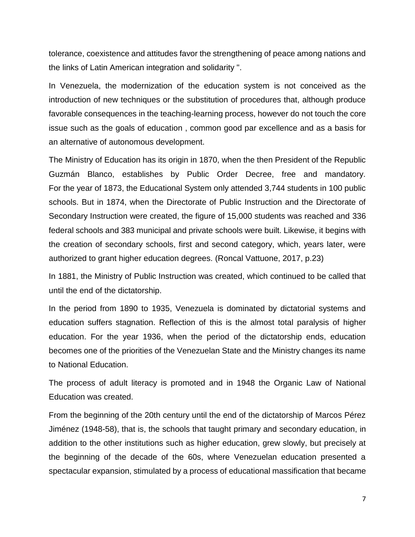tolerance, coexistence and attitudes favor the strengthening of peace among nations and the links of Latin American integration and solidarity ".

In Venezuela, the modernization of the education system is not conceived as the introduction of new techniques or the substitution of procedures that, although produce favorable consequences in the teaching-learning process, however do not touch the core issue such as the goals of education , common good par excellence and as a basis for an alternative of autonomous development.

The Ministry of Education has its origin in 1870, when the then President of the Republic Guzmán Blanco, establishes by Public Order Decree, free and mandatory. For the year of 1873, the Educational System only attended 3,744 students in 100 public schools. But in 1874, when the Directorate of Public Instruction and the Directorate of Secondary Instruction were created, the figure of 15,000 students was reached and 336 federal schools and 383 municipal and private schools were built. Likewise, it begins with the creation of secondary schools, first and second category, which, years later, were authorized to grant higher education degrees. (Roncal Vattuone, 2017, p.23)

In 1881, the Ministry of Public Instruction was created, which continued to be called that until the end of the dictatorship.

In the period from 1890 to 1935, Venezuela is dominated by dictatorial systems and education suffers stagnation. Reflection of this is the almost total paralysis of higher education. For the year 1936, when the period of the dictatorship ends, education becomes one of the priorities of the Venezuelan State and the Ministry changes its name to National Education.

The process of adult literacy is promoted and in 1948 the Organic Law of National Education was created.

From the beginning of the 20th century until the end of the dictatorship of Marcos Pérez Jiménez (1948-58), that is, the schools that taught primary and secondary education, in addition to the other institutions such as higher education, grew slowly, but precisely at the beginning of the decade of the 60s, where Venezuelan education presented a spectacular expansion, stimulated by a process of educational massification that became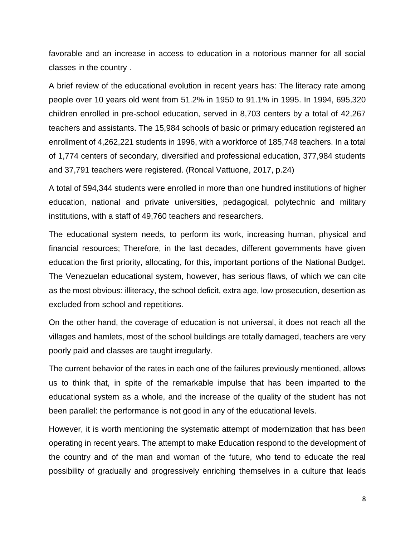favorable and an increase in access to education in a notorious manner for all social classes in the country .

A brief review of the educational evolution in recent years has: The literacy rate among people over 10 years old went from 51.2% in 1950 to 91.1% in 1995. In 1994, 695,320 children enrolled in pre-school education, served in 8,703 centers by a total of 42,267 teachers and assistants. The 15,984 schools of basic or primary education registered an enrollment of 4,262,221 students in 1996, with a workforce of 185,748 teachers. In a total of 1,774 centers of secondary, diversified and professional education, 377,984 students and 37,791 teachers were registered. (Roncal Vattuone, 2017, p.24)

A total of 594,344 students were enrolled in more than one hundred institutions of higher education, national and private universities, pedagogical, polytechnic and military institutions, with a staff of 49,760 teachers and researchers.

The educational system needs, to perform its work, increasing human, physical and financial resources; Therefore, in the last decades, different governments have given education the first priority, allocating, for this, important portions of the National Budget. The Venezuelan educational system, however, has serious flaws, of which we can cite as the most obvious: illiteracy, the school deficit, extra age, low prosecution, desertion as excluded from school and repetitions.

On the other hand, the coverage of education is not universal, it does not reach all the villages and hamlets, most of the school buildings are totally damaged, teachers are very poorly paid and classes are taught irregularly.

The current behavior of the rates in each one of the failures previously mentioned, allows us to think that, in spite of the remarkable impulse that has been imparted to the educational system as a whole, and the increase of the quality of the student has not been parallel: the performance is not good in any of the educational levels.

However, it is worth mentioning the systematic attempt of modernization that has been operating in recent years. The attempt to make Education respond to the development of the country and of the man and woman of the future, who tend to educate the real possibility of gradually and progressively enriching themselves in a culture that leads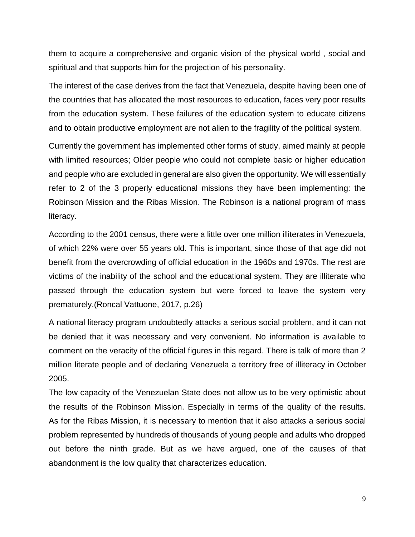them to acquire a comprehensive and organic vision of the physical world , social and spiritual and that supports him for the projection of his personality.

The interest of the case derives from the fact that Venezuela, despite having been one of the countries that has allocated the most resources to education, faces very poor results from the education system. These failures of the education system to educate citizens and to obtain productive employment are not alien to the fragility of the political system.

Currently the government has implemented other forms of study, aimed mainly at people with limited resources; Older people who could not complete basic or higher education and people who are excluded in general are also given the opportunity. We will essentially refer to 2 of the 3 properly educational missions they have been implementing: the Robinson Mission and the Ribas Mission. The Robinson is a national program of mass literacy.

According to the 2001 census, there were a little over one million illiterates in Venezuela, of which 22% were over 55 years old. This is important, since those of that age did not benefit from the overcrowding of official education in the 1960s and 1970s. The rest are victims of the inability of the school and the educational system. They are illiterate who passed through the education system but were forced to leave the system very prematurely.(Roncal Vattuone, 2017, p.26)

A national literacy program undoubtedly attacks a serious social problem, and it can not be denied that it was necessary and very convenient. No information is available to comment on the veracity of the official figures in this regard. There is talk of more than 2 million literate people and of declaring Venezuela a territory free of illiteracy in October 2005.

The low capacity of the Venezuelan State does not allow us to be very optimistic about the results of the Robinson Mission. Especially in terms of the quality of the results. As for the Ribas Mission, it is necessary to mention that it also attacks a serious social problem represented by hundreds of thousands of young people and adults who dropped out before the ninth grade. But as we have argued, one of the causes of that abandonment is the low quality that characterizes education.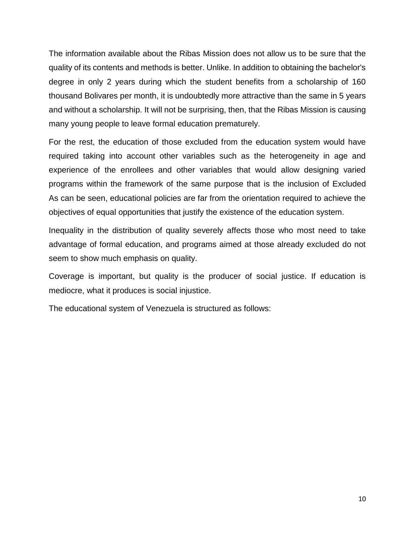The information available about the Ribas Mission does not allow us to be sure that the quality of its contents and methods is better. Unlike. In addition to obtaining the bachelor's degree in only 2 years during which the student benefits from a scholarship of 160 thousand Bolivares per month, it is undoubtedly more attractive than the same in 5 years and without a scholarship. It will not be surprising, then, that the Ribas Mission is causing many young people to leave formal education prematurely.

For the rest, the education of those excluded from the education system would have required taking into account other variables such as the heterogeneity in age and experience of the enrollees and other variables that would allow designing varied programs within the framework of the same purpose that is the inclusion of Excluded As can be seen, educational policies are far from the orientation required to achieve the objectives of equal opportunities that justify the existence of the education system.

Inequality in the distribution of quality severely affects those who most need to take advantage of formal education, and programs aimed at those already excluded do not seem to show much emphasis on quality.

Coverage is important, but quality is the producer of social justice. If education is mediocre, what it produces is social injustice.

The educational system of Venezuela is structured as follows: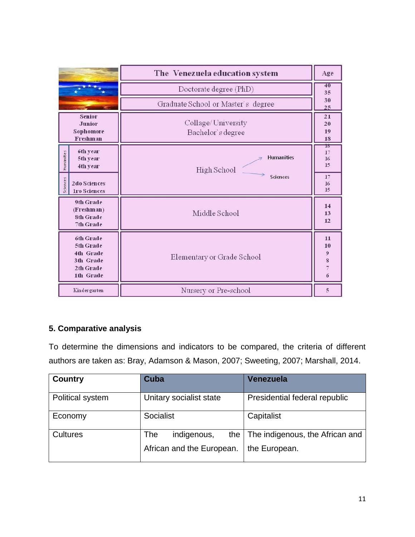|                                                                            | The Venezuela education system          |                                                                            |
|----------------------------------------------------------------------------|-----------------------------------------|----------------------------------------------------------------------------|
|                                                                            | Doctorate degree (PhD)                  |                                                                            |
|                                                                            | Graduate School or Master's degree      | 30<br>25                                                                   |
| <b>Senior</b><br><b>Junior</b><br>Sophomore<br><b>Freshman</b>             | Collage/University<br>Bachelor's degree | 21<br>20<br>19<br>18                                                       |
| 6th year<br>Humanities<br>5th year<br>4th year                             | <b>Humanities</b><br>High School        | 16<br>17<br>16<br>15                                                       |
| Sciences<br><b>2do Sciences</b><br><b>1ro Sciences</b>                     | Sciences                                | 17<br>16<br>15                                                             |
| 9th Grade<br>(Freshman)<br><b>8th Grade</b><br>7th Grade                   | Middle School                           | 14<br>13<br>12                                                             |
| 6th Grade<br>5th Grade<br>4th Grade<br>3th Grade<br>2th Grade<br>1th Grade | Elementary or Grade School              | 11<br>10<br>$\boldsymbol{9}$<br>8<br>$\overline{7}$<br>$\ddot{\mathbf{6}}$ |
| Kindergarten                                                               | Nursery or Pre-school                   | 5                                                                          |

# **5. Comparative analysis**

To determine the dimensions and indicators to be compared, the criteria of different authors are taken as: Bray, Adamson & Mason, 2007; Sweeting, 2007; Marshall, 2014.

| <b>Country</b>   | Cuba                                                   | Venezuela                                        |
|------------------|--------------------------------------------------------|--------------------------------------------------|
| Political system | Unitary socialist state                                | Presidential federal republic                    |
| Economy          | Socialist                                              | Capitalist                                       |
| <b>Cultures</b>  | indigenous,<br>the<br>The<br>African and the European. | The indigenous, the African and<br>the European. |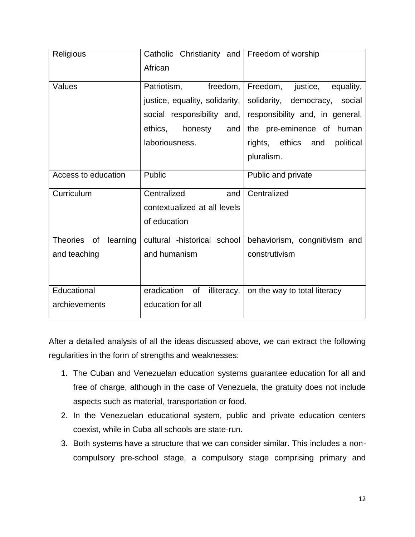| Religious               | Catholic Christianity and Freedom of worship |                                   |
|-------------------------|----------------------------------------------|-----------------------------------|
|                         | African                                      |                                   |
| Values                  | freedom,<br>Patriotism,                      | Freedom,<br>justice,<br>equality, |
|                         | justice, equality, solidarity,               | solidarity, democracy, social     |
|                         | social responsibility and,                   | responsibility and, in general,   |
|                         | ethics,<br>honesty<br>and                    | the pre-eminence of human         |
|                         | laboriousness.                               | rights, ethics and<br>political   |
|                         |                                              | pluralism.                        |
| Access to education     | Public                                       | Public and private                |
| Curriculum              | Centralized<br>and                           | Centralized                       |
|                         | contextualized at all levels                 |                                   |
|                         | of education                                 |                                   |
| Theories of<br>learning | cultural -historical school                  | behaviorism, congnitivism and     |
| and teaching            | and humanism                                 | construtivism                     |
|                         |                                              |                                   |
| Educational             | eradication<br>illiteracy,<br>of             | on the way to total literacy      |
| archievements           | education for all                            |                                   |

After a detailed analysis of all the ideas discussed above, we can extract the following regularities in the form of strengths and weaknesses:

- 1. The Cuban and Venezuelan education systems guarantee education for all and free of charge, although in the case of Venezuela, the gratuity does not include aspects such as material, transportation or food.
- 2. In the Venezuelan educational system, public and private education centers coexist, while in Cuba all schools are state-run.
- 3. Both systems have a structure that we can consider similar. This includes a noncompulsory pre-school stage, a compulsory stage comprising primary and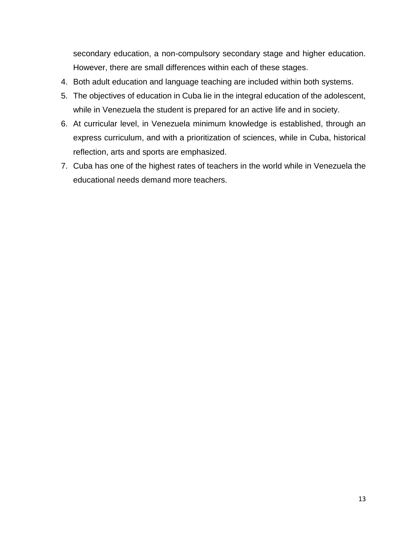secondary education, a non-compulsory secondary stage and higher education. However, there are small differences within each of these stages.

- 4. Both adult education and language teaching are included within both systems.
- 5. The objectives of education in Cuba lie in the integral education of the adolescent, while in Venezuela the student is prepared for an active life and in society.
- 6. At curricular level, in Venezuela minimum knowledge is established, through an express curriculum, and with a prioritization of sciences, while in Cuba, historical reflection, arts and sports are emphasized.
- 7. Cuba has one of the highest rates of teachers in the world while in Venezuela the educational needs demand more teachers.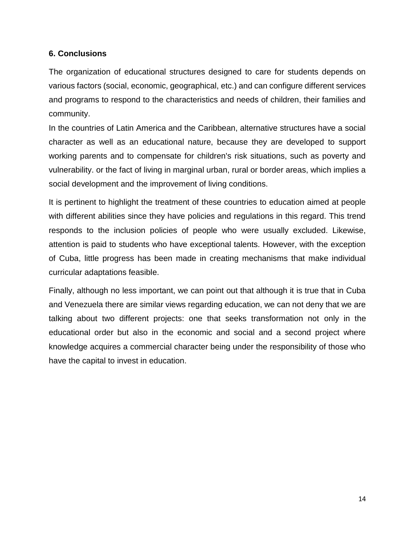### **6. Conclusions**

The organization of educational structures designed to care for students depends on various factors (social, economic, geographical, etc.) and can configure different services and programs to respond to the characteristics and needs of children, their families and community.

In the countries of Latin America and the Caribbean, alternative structures have a social character as well as an educational nature, because they are developed to support working parents and to compensate for children's risk situations, such as poverty and vulnerability. or the fact of living in marginal urban, rural or border areas, which implies a social development and the improvement of living conditions.

It is pertinent to highlight the treatment of these countries to education aimed at people with different abilities since they have policies and regulations in this regard. This trend responds to the inclusion policies of people who were usually excluded. Likewise, attention is paid to students who have exceptional talents. However, with the exception of Cuba, little progress has been made in creating mechanisms that make individual curricular adaptations feasible.

Finally, although no less important, we can point out that although it is true that in Cuba and Venezuela there are similar views regarding education, we can not deny that we are talking about two different projects: one that seeks transformation not only in the educational order but also in the economic and social and a second project where knowledge acquires a commercial character being under the responsibility of those who have the capital to invest in education.